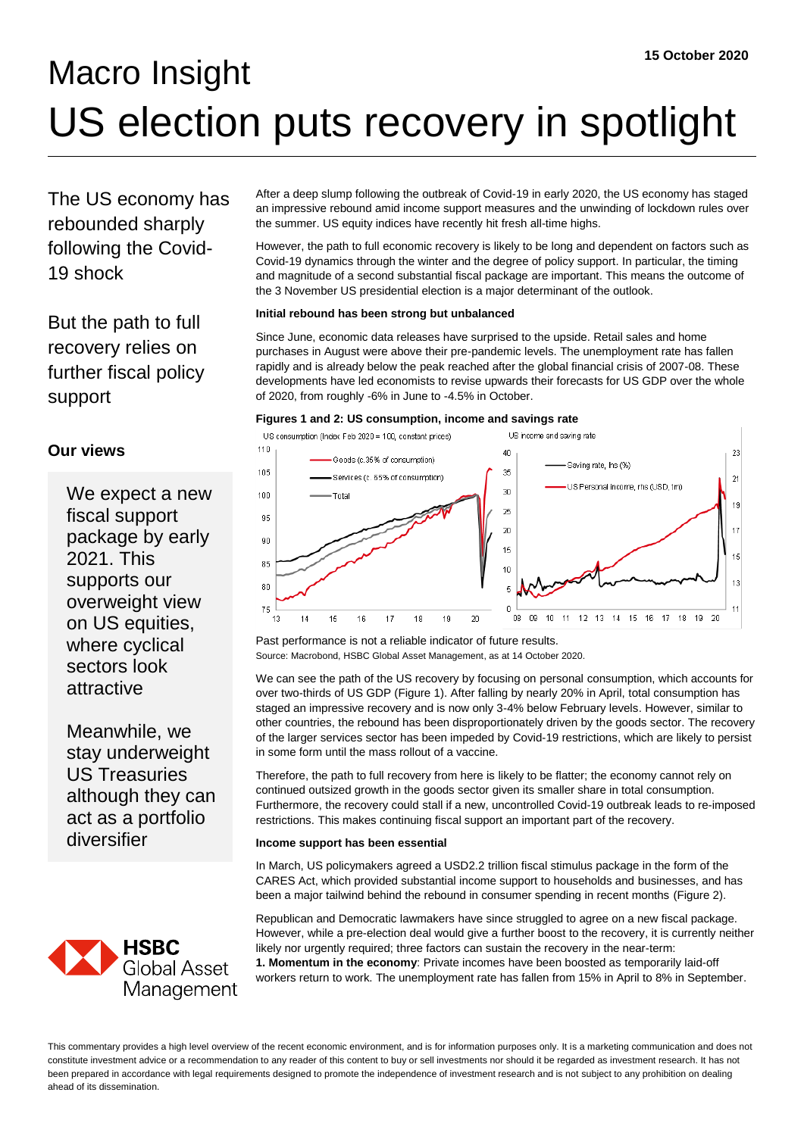# Macro Insight US election puts recovery in spotlight

The US economy has rebounded sharply following the Covid-19 shock

But the path to full recovery relies on further fiscal policy support

# **Our views**

We expect a new fiscal support package by early 2021. This supports our overweight view on US equities, where cyclical sectors look attractive

Meanwhile, we stay underweight US Treasuries although they can act as a portfolio diversifier



After a deep slump following the outbreak of Covid-19 in early 2020, the US economy has staged an impressive rebound amid income support measures and the unwinding of lockdown rules over the summer. US equity indices have recently hit fresh all-time highs.

However, the path to full economic recovery is likely to be long and dependent on factors such as Covid-19 dynamics through the winter and the degree of policy support. In particular, the timing and magnitude of a second substantial fiscal package are important. This means the outcome of the 3 November US presidential election is a major determinant of the outlook.

### **Initial rebound has been strong but unbalanced**

Since June, economic data releases have surprised to the upside. Retail sales and home purchases in August were above their pre-pandemic levels. The unemployment rate has fallen rapidly and is already below the peak reached after the global financial crisis of 2007-08. These developments have led economists to revise upwards their forecasts for US GDP over the whole of 2020, from roughly -6% in June to -4.5% in October.

#### **Figures 1 and 2: US consumption, income and savings rate**



Past performance is not a reliable indicator of future results. Source: Macrobond, HSBC Global Asset Management, as at 14 October 2020.

We can see the path of the US recovery by focusing on personal consumption, which accounts for over two-thirds of US GDP (Figure 1). After falling by nearly 20% in April, total consumption has staged an impressive recovery and is now only 3-4% below February levels. However, similar to other countries, the rebound has been disproportionately driven by the goods sector. The recovery of the larger services sector has been impeded by Covid-19 restrictions, which are likely to persist in some form until the mass rollout of a vaccine.

Therefore, the path to full recovery from here is likely to be flatter; the economy cannot rely on continued outsized growth in the goods sector given its smaller share in total consumption. Furthermore, the recovery could stall if a new, uncontrolled Covid-19 outbreak leads to re-imposed restrictions. This makes continuing fiscal support an important part of the recovery.

#### **Income support has been essential**

In March, US policymakers agreed a USD2.2 trillion fiscal stimulus package in the form of the CARES Act, which provided substantial income support to households and businesses, and has been a major tailwind behind the rebound in consumer spending in recent months (Figure 2).

Republican and Democratic lawmakers have since struggled to agree on a new fiscal package. However, while a pre-election deal would give a further boost to the recovery, it is currently neither likely nor urgently required; three factors can sustain the recovery in the near-term: **1. Momentum in the economy**: Private incomes have been boosted as temporarily laid-off workers return to work. The unemployment rate has fallen from 15% in April to 8% in September.

This commentary provides a high level overview of the recent economic environment, and is for information purposes only. It is a marketing communication and does not constitute investment advice or a recommendation to any reader of this content to buy or sell investments nor should it be regarded as investment research. It has not been prepared in accordance with legal requirements designed to promote the independence of investment research and is not subject to any prohibition on dealing ahead of its dissemination.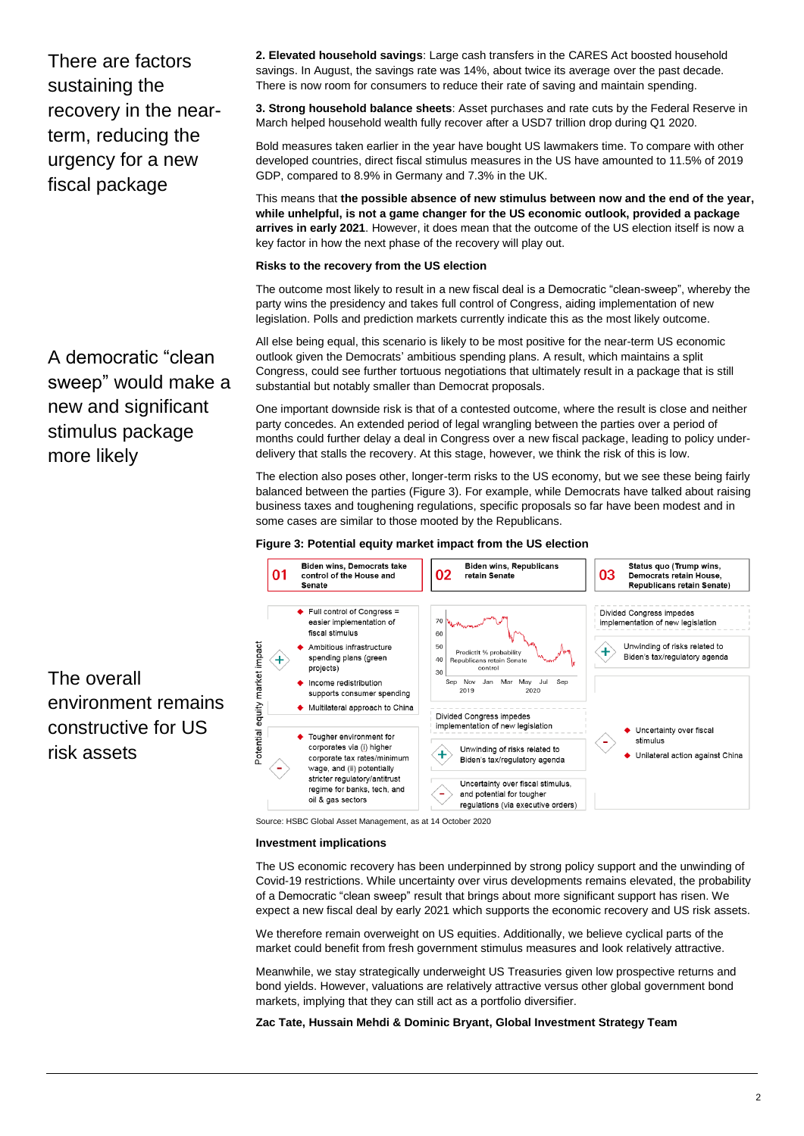There are factors sustaining the recovery in the nearterm, reducing the urgency for a new fiscal package

A democratic "clean sweep" would make a new and significant stimulus package more likely

**2. Elevated household savings**: Large cash transfers in the CARES Act boosted household savings. In August, the savings rate was 14%, about twice its average over the past decade. There is now room for consumers to reduce their rate of saving and maintain spending.

**3. Strong household balance sheets**: Asset purchases and rate cuts by the Federal Reserve in March helped household wealth fully recover after a USD7 trillion drop during Q1 2020.

Bold measures taken earlier in the year have bought US lawmakers time. To compare with other developed countries, direct fiscal stimulus measures in the US have amounted to 11.5% of 2019 GDP, compared to 8.9% in Germany and 7.3% in the UK.

This means that **the possible absence of new stimulus between now and the end of the year, while unhelpful, is not a game changer for the US economic outlook, provided a package arrives in early 2021**. However, it does mean that the outcome of the US election itself is now a key factor in how the next phase of the recovery will play out.

#### **Risks to the recovery from the US election**

The outcome most likely to result in a new fiscal deal is a Democratic "clean-sweep", whereby the party wins the presidency and takes full control of Congress, aiding implementation of new legislation. Polls and prediction markets currently indicate this as the most likely outcome.

All else being equal, this scenario is likely to be most positive for the near-term US economic outlook given the Democrats' ambitious spending plans. A result, which maintains a split Congress, could see further tortuous negotiations that ultimately result in a package that is still substantial but notably smaller than Democrat proposals.

One important downside risk is that of a contested outcome, where the result is close and neither party concedes. An extended period of legal wrangling between the parties over a period of months could further delay a deal in Congress over a new fiscal package, leading to policy underdelivery that stalls the recovery. At this stage, however, we think the risk of this is low.

The election also poses other, longer-term risks to the US economy, but we see these being fairly balanced between the parties (Figure 3). For example, while Democrats have talked about raising business taxes and toughening regulations, specific proposals so far have been modest and in some cases are similar to those mooted by the Republicans.

#### **Figure 3: Potential equity market impact from the US election**



Source: HSBC Global Asset Management, as at 14 October 2020

#### **Investment implications**

The US economic recovery has been underpinned by strong policy support and the unwinding of Covid-19 restrictions. While uncertainty over virus developments remains elevated, the probability of a Democratic "clean sweep" result that brings about more significant support has risen. We expect a new fiscal deal by early 2021 which supports the economic recovery and US risk assets.

We therefore remain overweight on US equities. Additionally, we believe cyclical parts of the market could benefit from fresh government stimulus measures and look relatively attractive.

Meanwhile, we stay strategically underweight US Treasuries given low prospective returns and bond yields. However, valuations are relatively attractive versus other global government bond markets, implying that they can still act as a portfolio diversifier.

**Zac Tate, Hussain Mehdi & Dominic Bryant, Global Investment Strategy Team**

The overall environment remains constructive for US risk assets